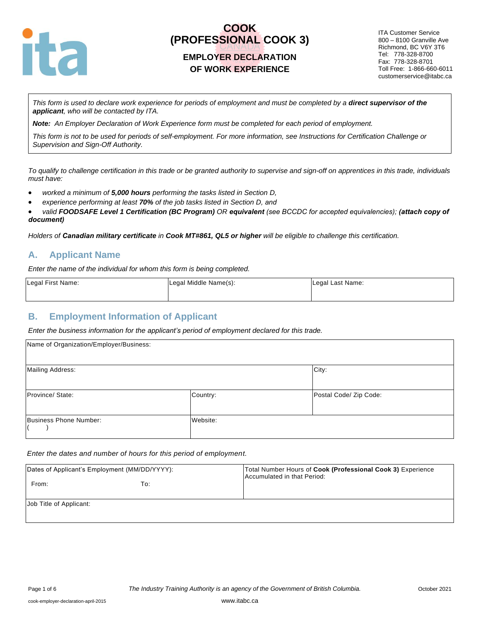

### **EMPLOYER DECLARATION OF WORK EXPERIENCE**

ITA Customer Service 800 – 8100 Granville Ave Richmond, BC V6Y 3T6 Tel: 778-328-8700 Fax: 778-328-8701 Toll Free: 1-866-660-6011 customerservice@itabc.ca

*This form is used to declare work experience for periods of employment and must be completed by a direct supervisor of the applicant, who will be contacted by ITA.*

*Note: An Employer Declaration of Work Experience form must be completed for each period of employment.*

*This form is not to be used for periods of self-employment. For more information, see Instructions for Certification Challenge or Supervision and Sign-Off Authority.*

*To qualify to challenge certification in this trade or be granted authority to supervise and sign-off on apprentices in this trade, individuals must have:*

- *worked a minimum of 5,000 hours performing the tasks listed in Section D,*
- *experience performing at least 70% of the job tasks listed in Section D, and*
- *valid FOODSAFE Level 1 Certification (BC Program) OR equivalent (see BCCDC for accepted equivalencies); (attach copy of document)*

*Holders of Canadian military certificate in Cook MT#861, QL5 or higher will be eligible to challenge this certification.*

#### **A. Applicant Name**

*Enter the name of the individual for whom this form is being completed.* 

| Legal First Name: | Legal Middle Name(s): | Legal Last Name: |
|-------------------|-----------------------|------------------|
|                   |                       |                  |

#### **B. Employment Information of Applicant**

*Enter the business information for the applicant's period of employment declared for this trade.*

| Name of Organization/Employer/Business: |          |                        |
|-----------------------------------------|----------|------------------------|
| <b>Mailing Address:</b>                 |          | City:                  |
| Province/State:                         | Country: | Postal Code/ Zip Code: |
| Business Phone Number:                  | Website: |                        |

*Enter the dates and number of hours for this period of employment.*

| Dates of Applicant's Employment (MM/DD/YYYY): |     | Total Number Hours of Cook (Professional Cook 3) Experience<br>Accumulated in that Period: |
|-----------------------------------------------|-----|--------------------------------------------------------------------------------------------|
| From:                                         | To: |                                                                                            |
| Job Title of Applicant:                       |     |                                                                                            |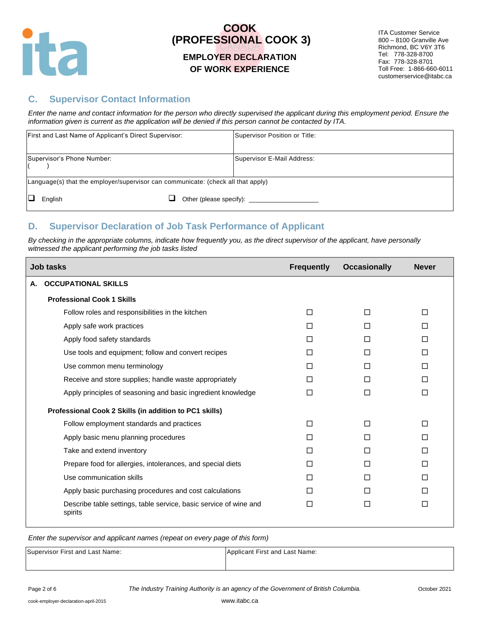

#### **EMPLOYER DECLARATION OF WORK EXPERIENCE**

ITA Customer Service 800 – 8100 Granville Ave Richmond, BC V6Y 3T6 Tel: 778-328-8700 Fax: 778-328-8701 Toll Free: 1-866-660-6011 customerservice@itabc.ca

### **C. Supervisor Contact Information**

*Enter the name and contact information for the person who directly supervised the applicant during this employment period. Ensure the information given is current as the application will be denied if this person cannot be contacted by ITA.*

| First and Last Name of Applicant's Direct Supervisor:                            |  | Supervisor Position or Title: |
|----------------------------------------------------------------------------------|--|-------------------------------|
| Supervisor's Phone Number:                                                       |  | Supervisor E-Mail Address:    |
| Language(s) that the employer/supervisor can communicate: (check all that apply) |  |                               |
| English                                                                          |  |                               |

## **D. Supervisor Declaration of Job Task Performance of Applicant**

*By checking in the appropriate columns, indicate how frequently you, as the direct supervisor of the applicant, have personally witnessed the applicant performing the job tasks listed*

|    | Job tasks                                                                    | <b>Frequently</b> | <b>Occasionally</b> | <b>Never</b> |
|----|------------------------------------------------------------------------------|-------------------|---------------------|--------------|
| А. | <b>OCCUPATIONAL SKILLS</b>                                                   |                   |                     |              |
|    | <b>Professional Cook 1 Skills</b>                                            |                   |                     |              |
|    | Follow roles and responsibilities in the kitchen                             | П                 | П                   | П            |
|    | Apply safe work practices                                                    | п                 | П                   | П            |
|    | Apply food safety standards                                                  | П                 | П                   | П            |
|    | Use tools and equipment; follow and convert recipes                          | П                 | П                   | П            |
|    | Use common menu terminology                                                  | П                 | П                   | □            |
|    | Receive and store supplies; handle waste appropriately                       | П                 | П                   | $\Box$       |
|    | Apply principles of seasoning and basic ingredient knowledge                 | П                 | П                   | $\Box$       |
|    | Professional Cook 2 Skills (in addition to PC1 skills)                       |                   |                     |              |
|    | Follow employment standards and practices                                    | $\Box$            | П                   | $\Box$       |
|    | Apply basic menu planning procedures                                         | П                 | П                   | П            |
|    | Take and extend inventory                                                    | П                 | П                   | □            |
|    | Prepare food for allergies, intolerances, and special diets                  | П                 | П                   | П            |
|    | Use communication skills                                                     | П                 | П                   | П            |
|    | Apply basic purchasing procedures and cost calculations                      | п                 | п                   | П            |
|    | Describe table settings, table service, basic service of wine and<br>spirits | П                 | □                   | П            |

| Supervisor First and Last Name: | Applicant First and Last Name: |
|---------------------------------|--------------------------------|
|                                 |                                |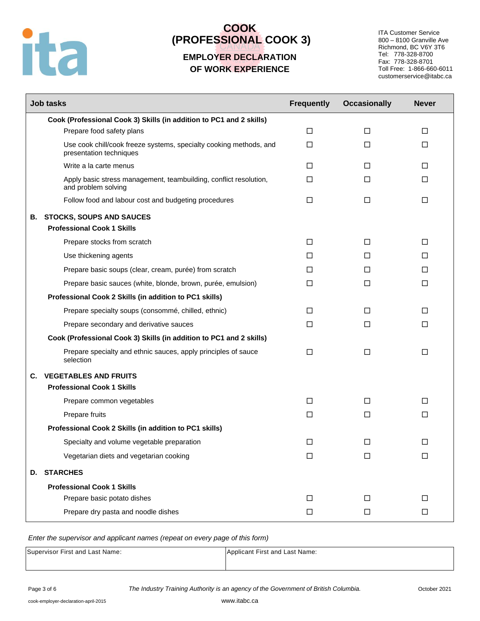

### **EMPLOYER DECLARATION OF WORK EXPERIENCE**

ITA Customer Service 800 – 8100 Granville Ave Richmond, BC V6Y 3T6 Tel: 778-328-8700 Fax: 778-328-8701 Toll Free: 1-866-660-6011 customerservice@itabc.ca

|    | <b>Job tasks</b>                                                                              | <b>Frequently</b> | <b>Occasionally</b> | <b>Never</b> |
|----|-----------------------------------------------------------------------------------------------|-------------------|---------------------|--------------|
|    | Cook (Professional Cook 3) Skills (in addition to PC1 and 2 skills)                           |                   |                     |              |
|    | Prepare food safety plans                                                                     | $\Box$            | $\Box$              | □            |
|    | Use cook chill/cook freeze systems, specialty cooking methods, and<br>presentation techniques | $\Box$            | $\Box$              | □            |
|    | Write a la carte menus                                                                        | □                 | П                   | □            |
|    | Apply basic stress management, teambuilding, conflict resolution,<br>and problem solving      | □                 | П                   | $\Box$       |
|    | Follow food and labour cost and budgeting procedures                                          | $\Box$            | $\Box$              | $\Box$       |
|    | <b>B. STOCKS, SOUPS AND SAUCES</b>                                                            |                   |                     |              |
|    | <b>Professional Cook 1 Skills</b>                                                             |                   |                     |              |
|    | Prepare stocks from scratch                                                                   | $\Box$            | $\Box$              | □            |
|    | Use thickening agents                                                                         | □                 | □                   | □            |
|    | Prepare basic soups (clear, cream, purée) from scratch                                        | □                 | П                   | □            |
|    | Prepare basic sauces (white, blonde, brown, purée, emulsion)                                  | $\Box$            | П                   | $\Box$       |
|    | Professional Cook 2 Skills (in addition to PC1 skills)                                        |                   |                     |              |
|    | Prepare specialty soups (consommé, chilled, ethnic)                                           | $\Box$            | П                   | $\Box$       |
|    | Prepare secondary and derivative sauces                                                       | $\Box$            | П                   | $\Box$       |
|    | Cook (Professional Cook 3) Skills (in addition to PC1 and 2 skills)                           |                   |                     |              |
|    | Prepare specialty and ethnic sauces, apply principles of sauce<br>selection                   | $\Box$            | $\Box$              | $\Box$       |
| C. | <b>VEGETABLES AND FRUITS</b>                                                                  |                   |                     |              |
|    | <b>Professional Cook 1 Skills</b>                                                             |                   |                     |              |
|    | Prepare common vegetables                                                                     | □                 | □                   | □            |
|    | Prepare fruits                                                                                | $\Box$            | □                   | $\Box$       |
|    | Professional Cook 2 Skills (in addition to PC1 skills)                                        |                   |                     |              |
|    | Specialty and volume vegetable preparation                                                    | $\Box$            | $\Box$              | $\Box$       |
|    | Vegetarian diets and vegetarian cooking                                                       | $\Box$            | □                   | $\Box$       |
|    | D. STARCHES                                                                                   |                   |                     |              |
|    | <b>Professional Cook 1 Skills</b>                                                             |                   |                     |              |
|    | Prepare basic potato dishes                                                                   | $\Box$            | $\Box$              | $\Box$       |
|    | Prepare dry pasta and noodle dishes                                                           | $\Box$            | $\Box$              | $\Box$       |

| Supervisor First and Last Name: | Applicant First and Last Name: |
|---------------------------------|--------------------------------|
|                                 |                                |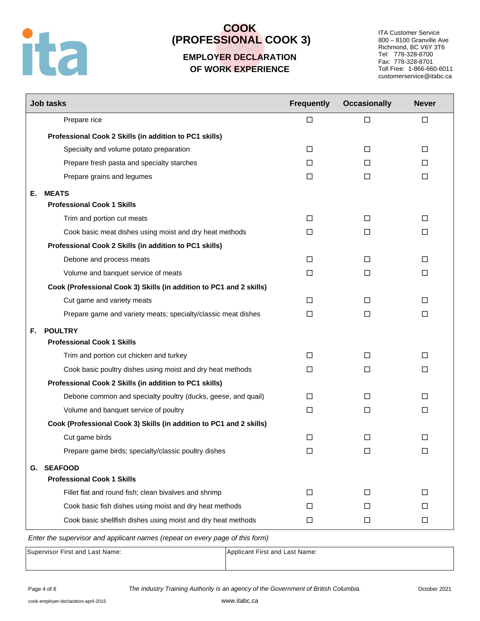

## **EMPLOYER DECLARATION OF WORK EXPERIENCE**

ITA Customer Service 800 – 8100 Granville Ave Richmond, BC V6Y 3T6 Tel: 778-328-8700 Fax: 778-328-8701 Toll Free: 1-866-660-6011 customerservice@itabc.ca

|    | <b>Job tasks</b>                                                    | <b>Frequently</b> | <b>Occasionally</b> | <b>Never</b> |
|----|---------------------------------------------------------------------|-------------------|---------------------|--------------|
|    | Prepare rice                                                        | □                 | □                   | $\Box$       |
|    | Professional Cook 2 Skills (in addition to PC1 skills)              |                   |                     |              |
|    | Specialty and volume potato preparation                             | $\Box$            | $\Box$              | $\Box$       |
|    | Prepare fresh pasta and specialty starches                          | П                 | □                   | □            |
|    | Prepare grains and legumes                                          | □                 | □                   | □            |
| Е. | <b>MEATS</b>                                                        |                   |                     |              |
|    | <b>Professional Cook 1 Skills</b>                                   |                   |                     |              |
|    | Trim and portion cut meats                                          | □                 | □                   | $\Box$       |
|    | Cook basic meat dishes using moist and dry heat methods             | □                 | □                   | □            |
|    | Professional Cook 2 Skills (in addition to PC1 skills)              |                   |                     |              |
|    | Debone and process meats                                            | □                 | □                   | □            |
|    | Volume and banquet service of meats                                 | □                 | $\Box$              | □            |
|    | Cook (Professional Cook 3) Skills (in addition to PC1 and 2 skills) |                   |                     |              |
|    | Cut game and variety meats                                          | $\Box$            | П                   | $\Box$       |
|    | Prepare game and variety meats; specialty/classic meat dishes       | $\Box$            | $\Box$              | $\Box$       |
| F. | <b>POULTRY</b>                                                      |                   |                     |              |
|    | <b>Professional Cook 1 Skills</b>                                   |                   |                     |              |
|    | Trim and portion cut chicken and turkey                             | $\Box$            | $\Box$              | $\Box$       |
|    | Cook basic poultry dishes using moist and dry heat methods          | □                 | $\Box$              | □            |
|    | Professional Cook 2 Skills (in addition to PC1 skills)              |                   |                     |              |
|    | Debone common and specialty poultry (ducks, geese, and quail)       | □                 | □                   | □            |
|    | Volume and banquet service of poultry                               | $\Box$            | $\Box$              | $\Box$       |
|    | Cook (Professional Cook 3) Skills (in addition to PC1 and 2 skills) |                   |                     |              |
|    | Cut game birds                                                      | □                 | □                   | □            |
|    | Prepare game birds; specialty/classic poultry dishes                | □                 | □                   | □            |
| G. | <b>SEAFOOD</b>                                                      |                   |                     |              |
|    | <b>Professional Cook 1 Skills</b>                                   |                   |                     |              |
|    | Fillet flat and round fish; clean bivalves and shrimp               | □                 | $\Box$              | $\Box$       |
|    | Cook basic fish dishes using moist and dry heat methods             | □                 | □                   | □            |
|    | Cook basic shellfish dishes using moist and dry heat methods        | $\Box$            | $\Box$              | $\Box$       |

| Supervisor First and Last Name: | Applicant First and Last Name: |
|---------------------------------|--------------------------------|
|                                 |                                |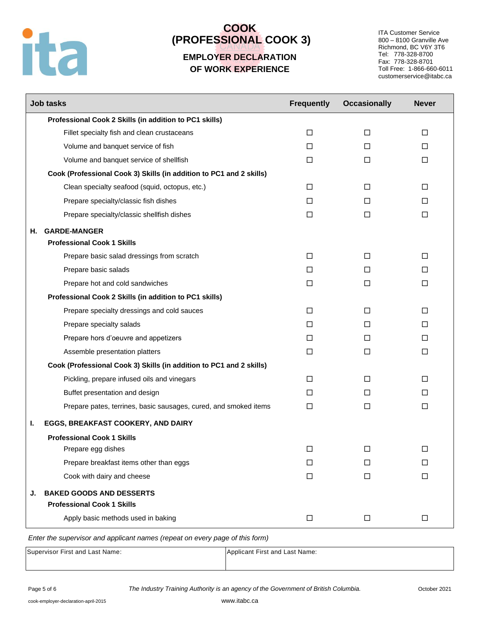

## **EMPLOYER DECLARATION OF WORK EXPERIENCE**

ITA Customer Service 800 – 8100 Granville Ave Richmond, BC V6Y 3T6 Tel: 778-328-8700 Fax: 778-328-8701 Toll Free: 1-866-660-6011 customerservice@itabc.ca

| <b>Job tasks</b>                                                    | <b>Frequently</b> | <b>Occasionally</b> | <b>Never</b> |
|---------------------------------------------------------------------|-------------------|---------------------|--------------|
| Professional Cook 2 Skills (in addition to PC1 skills)              |                   |                     |              |
| Fillet specialty fish and clean crustaceans                         | $\Box$            | □                   | $\Box$       |
| Volume and banquet service of fish                                  | П                 | П                   | П            |
| Volume and banquet service of shellfish                             | $\Box$            | □                   | □            |
| Cook (Professional Cook 3) Skills (in addition to PC1 and 2 skills) |                   |                     |              |
| Clean specialty seafood (squid, octopus, etc.)                      | □                 | □                   | □            |
| Prepare specialty/classic fish dishes                               | □                 | П                   | □            |
| Prepare specialty/classic shellfish dishes                          | $\Box$            | □                   | □            |
| <b>GARDE-MANGER</b><br>Н.                                           |                   |                     |              |
| <b>Professional Cook 1 Skills</b>                                   |                   |                     |              |
| Prepare basic salad dressings from scratch                          | $\Box$            | □                   | $\Box$       |
| Prepare basic salads                                                | П                 | П                   | П            |
| Prepare hot and cold sandwiches                                     | $\Box$            | $\Box$              | □            |
| Professional Cook 2 Skills (in addition to PC1 skills)              |                   |                     |              |
| Prepare specialty dressings and cold sauces                         | □                 | П                   | П            |
| Prepare specialty salads                                            | П                 | П                   | П            |
| Prepare hors d'oeuvre and appetizers                                | $\Box$            | П                   | $\Box$       |
| Assemble presentation platters                                      | □                 | □                   | $\Box$       |
| Cook (Professional Cook 3) Skills (in addition to PC1 and 2 skills) |                   |                     |              |
| Pickling, prepare infused oils and vinegars                         | □                 | П                   | □            |
| Buffet presentation and design                                      | П                 | П                   | П            |
| Prepare pates, terrines, basic sausages, cured, and smoked items    | $\Box$            | $\Box$              | $\Box$       |
| EGGS, BREAKFAST COOKERY, AND DAIRY<br>ı.                            |                   |                     |              |
| <b>Professional Cook 1 Skills</b>                                   |                   |                     |              |
| Prepare egg dishes                                                  | □                 | □                   | $\Box$       |
| Prepare breakfast items other than eggs                             | □                 | □                   | □            |
| Cook with dairy and cheese                                          | $\Box$            | $\Box$              | $\Box$       |
| <b>BAKED GOODS AND DESSERTS</b><br>J.                               |                   |                     |              |
| <b>Professional Cook 1 Skills</b>                                   |                   |                     |              |
| Apply basic methods used in baking                                  | $\Box$            | $\Box$              | $\Box$       |

| Supervisor First and Last Name: | Applicant First and Last Name: |
|---------------------------------|--------------------------------|
|                                 |                                |